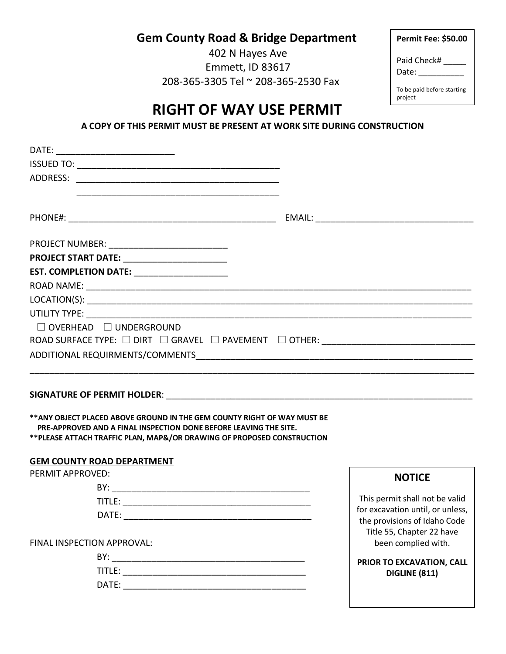**Gem County Road & Bridge Department**

 402 N Hayes Ave Emmett, ID 83617 208-365-3305 Tel ~ 208-365-2530 Fax

| <b>Permit Fee: \$50.00</b> |
|----------------------------|
| Paid Check#<br>Date:       |
| To be paid before starting |

project

# **RIGHT OF WAY USE PERMIT**

**A COPY OF THIS PERMIT MUST BE PRESENT AT WORK SITE DURING CONSTRUCTION**

| PROJECT NUMBER: ______________________________                                                                                                                                                                           |  |                                                                                                    |  |
|--------------------------------------------------------------------------------------------------------------------------------------------------------------------------------------------------------------------------|--|----------------------------------------------------------------------------------------------------|--|
| PROJECT START DATE: _________________________                                                                                                                                                                            |  |                                                                                                    |  |
| EST. COMPLETION DATE: _____________________                                                                                                                                                                              |  |                                                                                                    |  |
|                                                                                                                                                                                                                          |  |                                                                                                    |  |
|                                                                                                                                                                                                                          |  |                                                                                                    |  |
|                                                                                                                                                                                                                          |  |                                                                                                    |  |
| $\Box$ OVERHEAD $\Box$ UNDERGROUND                                                                                                                                                                                       |  |                                                                                                    |  |
| ROAD SURFACE TYPE: □ DIRT □ GRAVEL □ PAVEMENT □ OTHER: __________________________                                                                                                                                        |  |                                                                                                    |  |
|                                                                                                                                                                                                                          |  |                                                                                                    |  |
|                                                                                                                                                                                                                          |  |                                                                                                    |  |
|                                                                                                                                                                                                                          |  |                                                                                                    |  |
| ** ANY OBJECT PLACED ABOVE GROUND IN THE GEM COUNTY RIGHT OF WAY MUST BE<br>PRE-APPROVED AND A FINAL INSPECTION DONE BEFORE LEAVING THE SITE.<br>** PLEASE ATTACH TRAFFIC PLAN, MAP&/OR DRAWING OF PROPOSED CONSTRUCTION |  |                                                                                                    |  |
| <b>GEM COUNTY ROAD DEPARTMENT</b>                                                                                                                                                                                        |  |                                                                                                    |  |
| PERMIT APPROVED:                                                                                                                                                                                                         |  | <b>NOTICE</b>                                                                                      |  |
|                                                                                                                                                                                                                          |  |                                                                                                    |  |
|                                                                                                                                                                                                                          |  | This permit shall not be valid<br>for excavation until, or unless,<br>the provisions of Idaho Code |  |
|                                                                                                                                                                                                                          |  |                                                                                                    |  |
|                                                                                                                                                                                                                          |  | Title 55, Chapter 22 have                                                                          |  |
| FINAL INSPECTION APPROVAL:                                                                                                                                                                                               |  | been complied with.                                                                                |  |
|                                                                                                                                                                                                                          |  | PRIOR TO EXCAVATION, CALL                                                                          |  |
|                                                                                                                                                                                                                          |  | <b>DIGLINE (811)</b>                                                                               |  |
|                                                                                                                                                                                                                          |  |                                                                                                    |  |
|                                                                                                                                                                                                                          |  |                                                                                                    |  |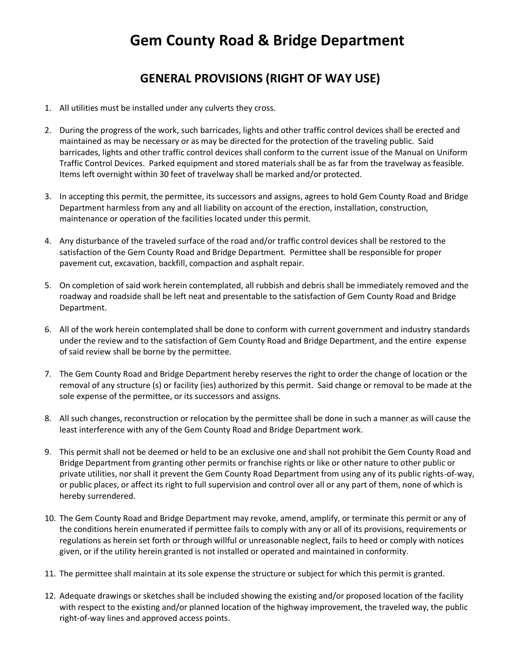## **Gem County Road & Bridge Department**

### **GENERAL PROVISIONS (RIGHT OF WAY USE)**

- 1. All utilities must be installed under any culverts they cross.
- 2. During the progress of the work, such barricades, lights and other traffic control devices shall be erected and maintained as may be necessary or as may be directed for the protection of the traveling public. Said barricades, lights and other traffic control devices shall conform to the current issue of the Manual on Uniform Traffic Control Devices. Parked equipment and stored materials shall be as far from the travelway as feasible. Items left overnight within 30 feet of travelway shall be marked and/or protected.
- 3. In accepting this permit, the permittee, its successors and assigns, agrees to hold Gem County Road and Bridge Department harmless from any and all liability on account of the erection, installation, construction, maintenance or operation of the facilities located under this permit.
- 4. Any disturbance of the traveled surface of the road and/or traffic control devices shall be restored to the satisfaction of the Gem County Road and Bridge Department. Permittee shall be responsible for proper pavement cut, excavation, backfill, compaction and asphalt repair.
- 5. On completion of said work herein contemplated, all rubbish and debris shall be immediately removed and the roadway and roadside shall be left neat and presentable to the satisfaction of Gem County Road and Bridge Department.
- 6. All of the work herein contemplated shall be done to conform with current government and industry standards under the review and to the satisfaction of Gem County Road and Bridge Department, and the entire expense of said review shall be borne by the permittee.
- 7. The Gem County Road and Bridge Department hereby reserves the right to order the change of location or the removal of any structure (s) or facility (ies) authorized by this permit. Said change or removal to be made at the sole expense of the permittee, or its successors and assigns.
- 8. All such changes, reconstruction or relocation by the permittee shall be done in such a manner as will cause the least interference with any of the Gem County Road and Bridge Department work.
- 9. This permit shall not be deemed or held to be an exclusive one and shall not prohibit the Gem County Road and Bridge Department from granting other permits or franchise rights or like or other nature to other public or private utilities, nor shall it prevent the Gem County Road Department from using any of its public rights-of-way, or public places, or affect its right to full supervision and control over all or any part of them, none of which is hereby surrendered.
- 10. The Gem County Road and Bridge Department may revoke, amend, amplify, or terminate this permit or any of the conditions herein enumerated if permittee fails to comply with any or all of its provisions, requirements or regulations as herein set forth or through willful or unreasonable neglect, fails to heed or comply with notices given, or if the utility herein granted is not installed or operated and maintained in conformity.
- 11. The permittee shall maintain at its sole expense the structure or subject for which this permit is granted.
- 12. Adequate drawings or sketches shall be included showing the existing and/or proposed location of the facility with respect to the existing and/or planned location of the highway improvement, the traveled way, the public right-of-way lines and approved access points.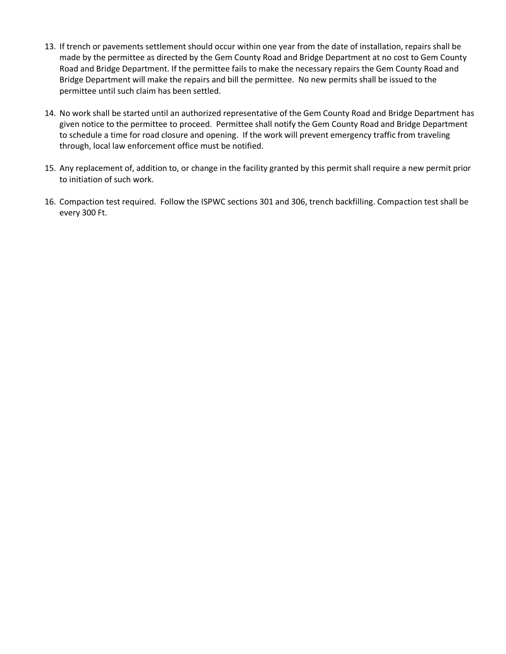- 13. If trench or pavements settlement should occur within one year from the date of installation, repairs shall be made by the permittee as directed by the Gem County Road and Bridge Department at no cost to Gem County Road and Bridge Department. If the permittee fails to make the necessary repairs the Gem County Road and Bridge Department will make the repairs and bill the permittee. No new permits shall be issued to the permittee until such claim has been settled.
- 14. No work shall be started until an authorized representative of the Gem County Road and Bridge Department has given notice to the permittee to proceed. Permittee shall notify the Gem County Road and Bridge Department to schedule a time for road closure and opening. If the work will prevent emergency traffic from traveling through, local law enforcement office must be notified.
- 15. Any replacement of, addition to, or change in the facility granted by this permit shall require a new permit prior to initiation of such work.
- 16. Compaction test required. Follow the ISPWC sections 301 and 306, trench backfilling. Compaction test shall be every 300 Ft.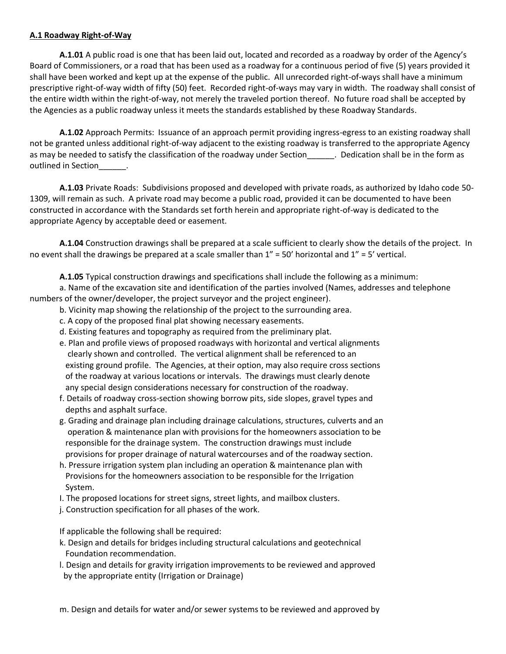#### **A.1 Roadway Right-of-Way**

**A.1.01** A public road is one that has been laid out, located and recorded as a roadway by order of the Agency's Board of Commissioners, or a road that has been used as a roadway for a continuous period of five (5) years provided it shall have been worked and kept up at the expense of the public. All unrecorded right-of-ways shall have a minimum prescriptive right-of-way width of fifty (50) feet. Recorded right-of-ways may vary in width. The roadway shall consist of the entire width within the right-of-way, not merely the traveled portion thereof. No future road shall be accepted by the Agencies as a public roadway unless it meets the standards established by these Roadway Standards.

**A.1.02** Approach Permits: Issuance of an approach permit providing ingress-egress to an existing roadway shall not be granted unless additional right-of-way adjacent to the existing roadway is transferred to the appropriate Agency as may be needed to satisfy the classification of the roadway under Section [15] Dedication shall be in the form as outlined in Section\_\_\_\_\_\_.

**A.1.03** Private Roads: Subdivisions proposed and developed with private roads, as authorized by Idaho code 50- 1309, will remain as such. A private road may become a public road, provided it can be documented to have been constructed in accordance with the Standards set forth herein and appropriate right-of-way is dedicated to the appropriate Agency by acceptable deed or easement.

**A.1.04** Construction drawings shall be prepared at a scale sufficient to clearly show the details of the project. In no event shall the drawings be prepared at a scale smaller than 1" = 50' horizontal and 1" = 5' vertical.

**A.1.05** Typical construction drawings and specifications shall include the following as a minimum:

a. Name of the excavation site and identification of the parties involved (Names, addresses and telephone numbers of the owner/developer, the project surveyor and the project engineer).

- b. Vicinity map showing the relationship of the project to the surrounding area.
- c. A copy of the proposed final plat showing necessary easements.
- d. Existing features and topography as required from the preliminary plat.
- e. Plan and profile views of proposed roadways with horizontal and vertical alignments clearly shown and controlled. The vertical alignment shall be referenced to an existing ground profile. The Agencies, at their option, may also require cross sections of the roadway at various locations or intervals. The drawings must clearly denote any special design considerations necessary for construction of the roadway.
- f. Details of roadway cross-section showing borrow pits, side slopes, gravel types and depths and asphalt surface.
- g. Grading and drainage plan including drainage calculations, structures, culverts and an operation & maintenance plan with provisions for the homeowners association to be responsible for the drainage system. The construction drawings must include provisions for proper drainage of natural watercourses and of the roadway section.
- h. Pressure irrigation system plan including an operation & maintenance plan with Provisions for the homeowners association to be responsible for the Irrigation System.
- I. The proposed locations for street signs, street lights, and mailbox clusters.
- j. Construction specification for all phases of the work.

If applicable the following shall be required:

- k. Design and details for bridges including structural calculations and geotechnical Foundation recommendation.
- l. Design and details for gravity irrigation improvements to be reviewed and approved by the appropriate entity (Irrigation or Drainage)

m. Design and details for water and/or sewer systems to be reviewed and approved by